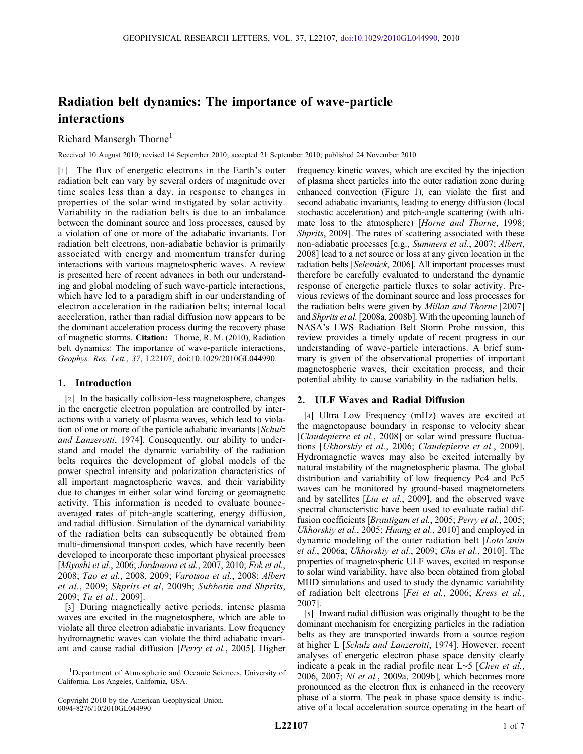# Radiation belt dynamics: The importance of wave‐particle interactions

# Richard Mansergh Thorne<sup>1</sup>

Received 10 August 2010; revised 14 September 2010; accepted 21 September 2010; published 24 November 2010.

[1] The flux of energetic electrons in the Earth's outer radiation belt can vary by several orders of magnitude over time scales less than a day, in response to changes in properties of the solar wind instigated by solar activity. Variability in the radiation belts is due to an imbalance between the dominant source and loss processes, caused by a violation of one or more of the adiabatic invariants. For radiation belt electrons, non‐adiabatic behavior is primarily associated with energy and momentum transfer during interactions with various magnetospheric waves. A review is presented here of recent advances in both our understanding and global modeling of such wave-particle interactions, which have led to a paradigm shift in our understanding of electron acceleration in the radiation belts; internal local acceleration, rather than radial diffusion now appears to be the dominant acceleration process during the recovery phase of magnetic storms. Citation: Thorne, R. M. (2010), Radiation belt dynamics: The importance of wave-particle interactions, Geophys. Res. Lett., 37, L22107, doi:10.1029/2010GL044990.

# 1. Introduction

[2] In the basically collision-less magnetosphere, changes in the energetic electron population are controlled by interactions with a variety of plasma waves, which lead to violation of one or more of the particle adiabatic invariants [Schulz and Lanzerotti, 1974]. Consequently, our ability to understand and model the dynamic variability of the radiation belts requires the development of global models of the power spectral intensity and polarization characteristics of all important magnetospheric waves, and their variability due to changes in either solar wind forcing or geomagnetic activity. This information is needed to evaluate bounce‐ averaged rates of pitch‐angle scattering, energy diffusion, and radial diffusion. Simulation of the dynamical variability of the radiation belts can subsequently be obtained from multi-dimensional transport codes, which have recently been developed to incorporate these important physical processes [Miyoshi et al., 2006; Jordanova et al., 2007, 2010; Fok et al., 2008; Tao et al., 2008, 2009; Varotsou et al., 2008; Albert et al., 2009; Shprits et al, 2009b; Subbotin and Shprits, 2009; Tu et al., 2009].

[3] During magnetically active periods, intense plasma waves are excited in the magnetosphere, which are able to violate all three electron adiabatic invariants. Low frequency hydromagnetic waves can violate the third adiabatic invariant and cause radial diffusion [Perry et al., 2005]. Higher frequency kinetic waves, which are excited by the injection of plasma sheet particles into the outer radiation zone during enhanced convection (Figure 1), can violate the first and second adiabatic invariants, leading to energy diffusion (local stochastic acceleration) and pitch‐angle scattering (with ultimate loss to the atmosphere) [Horne and Thorne, 1998; Shprits, 2009]. The rates of scattering associated with these non-adiabatic processes [e.g., Summers et al., 2007; Albert, 2008] lead to a net source or loss at any given location in the radiation belts [Selesnick, 2006]. All important processes must therefore be carefully evaluated to understand the dynamic response of energetic particle fluxes to solar activity. Previous reviews of the dominant source and loss processes for the radiation belts were given by Millan and Thorne [2007] and Shprits et al. [2008a, 2008b]. With the upcoming launch of NASA's LWS Radiation Belt Storm Probe mission, this review provides a timely update of recent progress in our understanding of wave-particle interactions. A brief summary is given of the observational properties of important magnetospheric waves, their excitation process, and their potential ability to cause variability in the radiation belts.

# 2. ULF Waves and Radial Diffusion

[4] Ultra Low Frequency (mHz) waves are excited at the magnetopause boundary in response to velocity shear [Claudepierre et al., 2008] or solar wind pressure fluctuations [Ukhorskiy et al., 2006; Claudepierre et al., 2009]. Hydromagnetic waves may also be excited internally by natural instability of the magnetospheric plasma. The global distribution and variability of low frequency Pc4 and Pc5 waves can be monitored by ground-based magnetometers and by satellites [Liu et al., 2009], and the observed wave spectral characteristic have been used to evaluate radial diffusion coefficients [*Brautigam et al., 2005; Perry et al., 2005;* Ukhorskiy et al., 2005; Huang et al., 2010] and employed in dynamic modeling of the outer radiation belt [Loto'aniu et al., 2006a; Ukhorskiy et al., 2009; Chu et al., 2010]. The properties of magnetospheric ULF waves, excited in response to solar wind variability, have also been obtained from global MHD simulations and used to study the dynamic variability of radiation belt electrons [Fei et al., 2006; Kress et al., 2007].

[5] Inward radial diffusion was originally thought to be the dominant mechanism for energizing particles in the radiation belts as they are transported inwards from a source region at higher L [Schulz and Lanzerotti, 1974]. However, recent analyses of energetic electron phase space density clearly indicate a peak in the radial profile near L∼5 [Chen et al., 2006, 2007; Ni et al., 2009a, 2009b], which becomes more pronounced as the electron flux is enhanced in the recovery phase of a storm. The peak in phase space density is indicative of a local acceleration source operating in the heart of

<sup>&</sup>lt;sup>1</sup>Department of Atmospheric and Oceanic Sciences, University of California, Los Angeles, California, USA.

Copyright 2010 by the American Geophysical Union. 0094‐8276/10/2010GL044990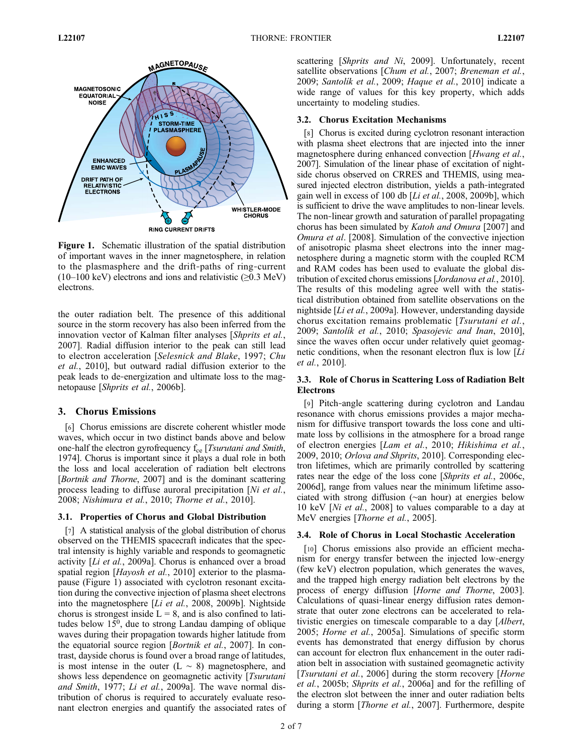

Figure 1. Schematic illustration of the spatial distribution of important waves in the inner magnetosphere, in relation to the plasmasphere and the drift‐paths of ring‐current  $(10–100 \text{ keV})$  electrons and ions and relativistic  $(≥0.3 \text{ MeV})$ electrons.

the outer radiation belt. The presence of this additional source in the storm recovery has also been inferred from the innovation vector of Kalman filter analyses [Shprits et al., 2007]. Radial diffusion interior to the peak can still lead to electron acceleration [Selesnick and Blake, 1997; Chu et al., 2010], but outward radial diffusion exterior to the peak leads to de‐energization and ultimate loss to the magnetopause [Shprits et al., 2006b].

#### 3. Chorus Emissions

[6] Chorus emissions are discrete coherent whistler mode waves, which occur in two distinct bands above and below one-half the electron gyrofrequency  $f_{ce}$  [Tsurutani and Smith, 1974]. Chorus is important since it plays a dual role in both the loss and local acceleration of radiation belt electrons [Bortnik and Thorne, 2007] and is the dominant scattering process leading to diffuse auroral precipitation [Ni et al., 2008; Nishimura et al., 2010; Thorne et al., 2010].

#### 3.1. Properties of Chorus and Global Distribution

[7] A statistical analysis of the global distribution of chorus observed on the THEMIS spacecraft indicates that the spectral intensity is highly variable and responds to geomagnetic activity [Li et al., 2009a]. Chorus is enhanced over a broad spatial region [*Hayosh et al.*, 2010] exterior to the plasmapause (Figure 1) associated with cyclotron resonant excitation during the convective injection of plasma sheet electrons into the magnetosphere [Li et al., 2008, 2009b]. Nightside chorus is strongest inside  $L = 8$ , and is also confined to latitudes below  $15^0$ , due to strong Landau damping of oblique waves during their propagation towards higher latitude from the equatorial source region [Bortnik et al., 2007]. In contrast, dayside chorus is found over a broad range of latitudes, is most intense in the outer ( $L \sim 8$ ) magnetosphere, and shows less dependence on geomagnetic activity [Tsurutani and Smith, 1977; Li et al., 2009a]. The wave normal distribution of chorus is required to accurately evaluate resonant electron energies and quantify the associated rates of scattering [Shprits and Ni, 2009]. Unfortunately, recent satellite observations [Chum et al., 2007; Breneman et al., 2009; Santolík et al., 2009; Haque et al., 2010] indicate a wide range of values for this key property, which adds uncertainty to modeling studies.

#### 3.2. Chorus Excitation Mechanisms

[8] Chorus is excited during cyclotron resonant interaction with plasma sheet electrons that are injected into the inner magnetosphere during enhanced convection [Hwang et al., 2007]. Simulation of the linear phase of excitation of nightside chorus observed on CRRES and THEMIS, using measured injected electron distribution, yields a path‐integrated gain well in excess of 100 db [Li et al., 2008, 2009b], which is sufficient to drive the wave amplitudes to non‐linear levels. The non-linear growth and saturation of parallel propagating chorus has been simulated by Katoh and Omura [2007] and *Omura et al.* [2008]. Simulation of the convective injection of anisotropic plasma sheet electrons into the inner magnetosphere during a magnetic storm with the coupled RCM and RAM codes has been used to evaluate the global distribution of excited chorus emissions [Jordanova et al., 2010]. The results of this modeling agree well with the statistical distribution obtained from satellite observations on the nightside [Li et al., 2009a]. However, understanding dayside chorus excitation remains problematic [Tsurutani et al., 2009; Santolík et al., 2010; Spasojevic and Inan, 2010], since the waves often occur under relatively quiet geomagnetic conditions, when the resonant electron flux is low [Li et al., 2010].

## 3.3. Role of Chorus in Scattering Loss of Radiation Belt Electrons

[9] Pitch-angle scattering during cyclotron and Landau resonance with chorus emissions provides a major mechanism for diffusive transport towards the loss cone and ultimate loss by collisions in the atmosphere for a broad range of electron energies [Lam et al., 2010; Hikishima et al., 2009, 2010; Orlova and Shprits, 2010]. Corresponding electron lifetimes, which are primarily controlled by scattering rates near the edge of the loss cone [Shprits et al., 2006c, 2006d], range from values near the minimum lifetime associated with strong diffusion (∼an hour) at energies below 10 keV [Ni et al., 2008] to values comparable to a day at MeV energies [Thorne et al., 2005].

## 3.4. Role of Chorus in Local Stochastic Acceleration

[10] Chorus emissions also provide an efficient mechanism for energy transfer between the injected low‐energy (few keV) electron population, which generates the waves, and the trapped high energy radiation belt electrons by the process of energy diffusion [Horne and Thorne, 2003]. Calculations of quasi‐linear energy diffusion rates demonstrate that outer zone electrons can be accelerated to relativistic energies on timescale comparable to a day [Albert, 2005; Horne et al., 2005a]. Simulations of specific storm events has demonstrated that energy diffusion by chorus can account for electron flux enhancement in the outer radiation belt in association with sustained geomagnetic activity [*Tsurutani et al., 2006*] during the storm recovery [*Horne* et al., 2005b; Shprits et al., 2006a] and for the refilling of the electron slot between the inner and outer radiation belts during a storm [*Thorne et al.*, 2007]. Furthermore, despite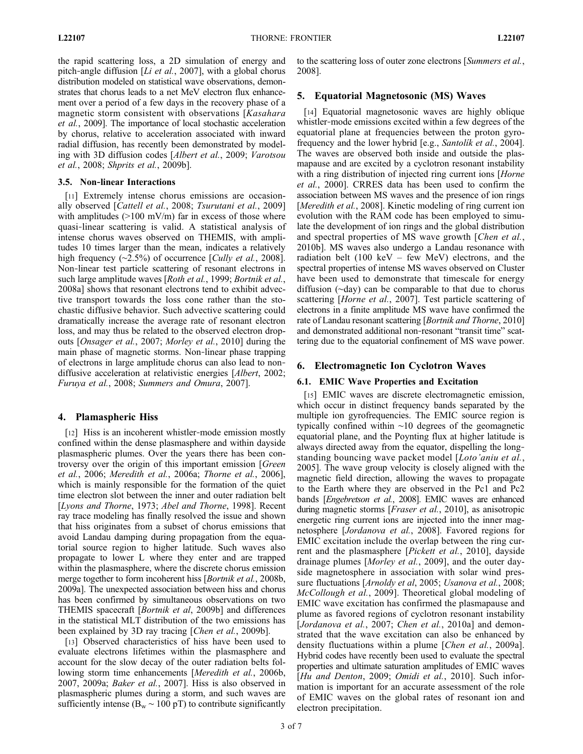the rapid scattering loss, a 2D simulation of energy and pitch-angle diffusion  $[L<sub>i</sub> et al., 2007]$ , with a global chorus distribution modeled on statistical wave observations, demonstrates that chorus leads to a net MeV electron flux enhancement over a period of a few days in the recovery phase of a magnetic storm consistent with observations [Kasahara] et al., 2009]. The importance of local stochastic acceleration by chorus, relative to acceleration associated with inward radial diffusion, has recently been demonstrated by modeling with 3D diffusion codes [Albert et al., 2009; Varotsou et al., 2008; Shprits et al., 2009b].

#### 3.5. Non‐linear Interactions

[11] Extremely intense chorus emissions are occasionally observed [Cattell et al., 2008; Tsurutani et al., 2009] with amplitudes  $(>100 \text{ mV/m})$  far in excess of those where quasi‐linear scattering is valid. A statistical analysis of intense chorus waves observed on THEMIS, with amplitudes 10 times larger than the mean, indicates a relatively high frequency ( $\sim$ 2.5%) of occurrence [Cully et al., 2008]. Non‐linear test particle scattering of resonant electrons in such large amplitude waves [*Roth et al.*, 1999; *Bortnik et al.*, 2008a] shows that resonant electrons tend to exhibit advective transport towards the loss cone rather than the stochastic diffusive behavior. Such advective scattering could dramatically increase the average rate of resonant electron loss, and may thus be related to the observed electron dropouts [Onsager et al., 2007; Morley et al., 2010] during the main phase of magnetic storms. Non-linear phase trapping of electrons in large amplitude chorus can also lead to non‐ diffusive acceleration at relativistic energies [*Albert*, 2002; Furuya et al., 2008; Summers and Omura, 2007].

#### 4. Plamaspheric Hiss

[12] Hiss is an incoherent whistler-mode emission mostly confined within the dense plasmasphere and within dayside plasmaspheric plumes. Over the years there has been controversy over the origin of this important emission [Green et al., 2006; Meredith et al., 2006a; Thorne et al., 2006], which is mainly responsible for the formation of the quiet time electron slot between the inner and outer radiation belt [Lyons and Thorne, 1973; Abel and Thorne, 1998]. Recent ray trace modeling has finally resolved the issue and shown that hiss originates from a subset of chorus emissions that avoid Landau damping during propagation from the equatorial source region to higher latitude. Such waves also propagate to lower L where they enter and are trapped within the plasmasphere, where the discrete chorus emission merge together to form incoherent hiss [Bortnik et al., 2008b, 2009a]. The unexpected association between hiss and chorus has been confirmed by simultaneous observations on two THEMIS spacecraft [Bortnik et al, 2009b] and differences in the statistical MLT distribution of the two emissions has been explained by 3D ray tracing [*Chen et al.*, 2009b].

[13] Observed characteristics of hiss have been used to evaluate electrons lifetimes within the plasmasphere and account for the slow decay of the outer radiation belts following storm time enhancements [*Meredith et al.*, 2006b, 2007, 2009a; Baker et al., 2007]. Hiss is also observed in plasmaspheric plumes during a storm, and such waves are sufficiently intense ( $B_w \sim 100 \text{ pT}$ ) to contribute significantly to the scattering loss of outer zone electrons [Summers et al., 2008].

## 5. Equatorial Magnetosonic (MS) Waves

[14] Equatorial magnetosonic waves are highly oblique whistler-mode emissions excited within a few degrees of the equatorial plane at frequencies between the proton gyrofrequency and the lower hybrid [e.g., Santolík et al., 2004]. The waves are observed both inside and outside the plasmapause and are excited by a cyclotron resonant instability with a ring distribution of injected ring current ions [Horne] et al., 2000]. CRRES data has been used to confirm the association between MS waves and the presence of ion rings [*Meredith et al.,* 2008]. Kinetic modeling of ring current ion evolution with the RAM code has been employed to simulate the development of ion rings and the global distribution and spectral properties of MS wave growth [*Chen et al.*, 2010b]. MS waves also undergo a Landau resonance with radiation belt  $(100 \text{ keV} - \text{few MeV})$  electrons, and the spectral properties of intense MS waves observed on Cluster have been used to demonstrate that timescale for energy diffusion (∼day) can be comparable to that due to chorus scattering [Horne et al., 2007]. Test particle scattering of electrons in a finite amplitude MS wave have confirmed the rate of Landau resonant scattering [*Bortnik and Thorne*, 2010] and demonstrated additional non‐resonant "transit time" scattering due to the equatorial confinement of MS wave power.

## 6. Electromagnetic Ion Cyclotron Waves

## 6.1. EMIC Wave Properties and Excitation

[15] EMIC waves are discrete electromagnetic emission, which occur in distinct frequency bands separated by the multiple ion gyrofrequencies. The EMIC source region is typically confined within ∼10 degrees of the geomagnetic equatorial plane, and the Poynting flux at higher latitude is always directed away from the equator, dispelling the long‐ standing bouncing wave packet model [Loto'aniu et al., 2005]. The wave group velocity is closely aligned with the magnetic field direction, allowing the waves to propagate to the Earth where they are observed in the Pc1 and Pc2 bands [Engebretson et al., 2008]. EMIC waves are enhanced during magnetic storms [Fraser et al., 2010], as anisotropic energetic ring current ions are injected into the inner magnetosphere [Jordanova et al., 2008]. Favored regions for EMIC excitation include the overlap between the ring current and the plasmasphere [Pickett et al., 2010], dayside drainage plumes [Morley et al., 2009], and the outer dayside magnetosphere in association with solar wind pressure fluctuations [*Arnoldy et al*, 2005; *Usanova et al.*, 2008; McCollough et al., 2009]. Theoretical global modeling of EMIC wave excitation has confirmed the plasmapause and plume as favored regions of cyclotron resonant instability [Jordanova et al., 2007; Chen et al., 2010a] and demonstrated that the wave excitation can also be enhanced by density fluctuations within a plume [*Chen et al.*, 2009a]. Hybrid codes have recently been used to evaluate the spectral properties and ultimate saturation amplitudes of EMIC waves [Hu and Denton, 2009; Omidi et al., 2010]. Such information is important for an accurate assessment of the role of EMIC waves on the global rates of resonant ion and electron precipitation.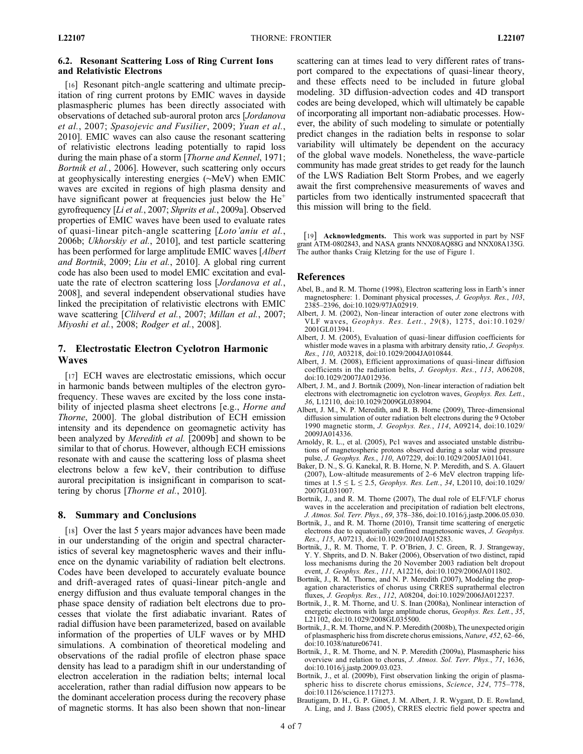## 6.2. Resonant Scattering Loss of Ring Current Ions and Relativistic Electrons

[16] Resonant pitch-angle scattering and ultimate precipitation of ring current protons by EMIC waves in dayside plasmaspheric plumes has been directly associated with observations of detached sub‐auroral proton arcs [Jordanova et al., 2007; Spasojevic and Fusilier, 2009; Yuan et al., 2010]. EMIC waves can also cause the resonant scattering of relativistic electrons leading potentially to rapid loss during the main phase of a storm [*Thorne and Kennel*, 1971; Bortnik et al., 2006]. However, such scattering only occurs at geophysically interesting energies (∼MeV) when EMIC waves are excited in regions of high plasma density and have significant power at frequencies just below the  $He<sup>+</sup>$ gyrofrequency [Li et al., 2007; Shprits et al., 2009a]. Observed properties of EMIC waves have been used to evaluate rates of quasi-linear pitch-angle scattering [Loto'aniu et al., 2006b; Ukhorskiy et al., 2010], and test particle scattering has been performed for large amplitude EMIC waves [Albert] and Bortnik, 2009; Liu et al., 2010]. A global ring current code has also been used to model EMIC excitation and evaluate the rate of electron scattering loss [Jordanova et al., 2008], and several independent observational studies have linked the precipitation of relativistic electrons with EMIC wave scattering [Clilverd et al., 2007; Millan et al., 2007; Miyoshi et al., 2008; Rodger et al., 2008].

# 7. Electrostatic Electron Cyclotron Harmonic Waves

[17] ECH waves are electrostatic emissions, which occur in harmonic bands between multiples of the electron gyrofrequency. These waves are excited by the loss cone instability of injected plasma sheet electrons [e.g., *Horne and* Thorne, 2000]. The global distribution of ECH emission intensity and its dependence on geomagnetic activity has been analyzed by Meredith et al. [2009b] and shown to be similar to that of chorus. However, although ECH emissions resonate with and cause the scattering loss of plasma sheet electrons below a few keV, their contribution to diffuse auroral precipitation is insignificant in comparison to scattering by chorus [Thorne et al., 2010].

#### 8. Summary and Conclusions

[18] Over the last 5 years major advances have been made in our understanding of the origin and spectral characteristics of several key magnetospheric waves and their influence on the dynamic variability of radiation belt electrons. Codes have been developed to accurately evaluate bounce and drift‐averaged rates of quasi‐linear pitch‐angle and energy diffusion and thus evaluate temporal changes in the phase space density of radiation belt electrons due to processes that violate the first adiabatic invariant. Rates of radial diffusion have been parameterized, based on available information of the properties of ULF waves or by MHD simulations. A combination of theoretical modeling and observations of the radial profile of electron phase space density has lead to a paradigm shift in our understanding of electron acceleration in the radiation belts; internal local acceleration, rather than radial diffusion now appears to be the dominant acceleration process during the recovery phase of magnetic storms. It has also been shown that non‐linear

scattering can at times lead to very different rates of transport compared to the expectations of quasi-linear theory, and these effects need to be included in future global modeling. 3D diffusion‐advection codes and 4D transport codes are being developed, which will ultimately be capable of incorporating all important non‐adiabatic processes. However, the ability of such modeling to simulate or potentially predict changes in the radiation belts in response to solar variability will ultimately be dependent on the accuracy of the global wave models. Nonetheless, the wave‐particle community has made great strides to get ready for the launch of the LWS Radiation Belt Storm Probes, and we eagerly await the first comprehensive measurements of waves and particles from two identically instrumented spacecraft that this mission will bring to the field.

[19] Acknowledgments. This work was supported in part by NSF grant ATM-0802843, and NASA grants NNX08AQ88G and NNX08A135G. The author thanks Craig Kletzing for the use of Figure 1.

#### References

- Abel, B., and R. M. Thorne (1998), Electron scattering loss in Earth's inner magnetosphere: 1. Dominant physical processes, J. Geophys. Res., 103, 2385–2396, doi:10.1029/97JA02919.
- Albert, J. M. (2002), Non-linear interaction of outer zone electrons with VLF waves, Geophys. Res. Lett., 29(8), 1275, doi:10.1029/ 2001GL013941.
- Albert, J. M. (2005), Evaluation of quasi-linear diffusion coefficients for whistler mode waves in a plasma with arbitrary density ratio, *J. Geophys.* Res., 110, A03218, doi:10.1029/2004JA010844.
- Albert, J. M. (2008), Efficient approximations of quasi-linear diffusion coefficients in the radiation belts, J. Geophys. Res., 113, A06208, doi:10.1029/2007JA012936.
- Albert, J. M., and J. Bortnik (2009), Non‐linear interaction of radiation belt electrons with electromagnetic ion cyclotron waves, Geophys. Res. Lett., 36, L12110, doi:10.1029/2009GL038904.
- Albert, J. M., N. P. Meredith, and R. B. Horne (2009), Three-dimensional diffusion simulation of outer radiation belt electrons during the 9 October 1990 magnetic storm, J. Geophys. Res., 114, A09214, doi:10.1029/ 2009JA014336.
- Arnoldy, R. L., et al. (2005), Pc1 waves and associated unstable distributions of magnetospheric protons observed during a solar wind pressure pulse, J. Geophys. Res., 110, A07229, doi:10.1029/2005JA011041.
- Baker, D. N., S. G. Kanekal, R. B. Horne, N. P. Meredith, and S. A. Glauert (2007), Low-altitude measurements of 2–6 MeV electron trapping lifetimes at  $1.5 \le L \le 2.5$ , Geophys. Res. Lett., 34, L20110, doi:10.1029/ 2007GL031007.
- Bortnik, J., and R. M. Thorne (2007), The dual role of ELF/VLF chorus waves in the acceleration and precipitation of radiation belt electrons, J. Atmos. Sol. Terr. Phys., 69, 378–386, doi:10.1016/j.jastp.2006.05.030.
- Bortnik, J., and R. M. Thorne (2010), Transit time scattering of energetic electrons due to equatorially confined magnetosonic waves, J. Geophys. Res., 115, A07213, doi:10.1029/2010JA015283.
- Bortnik, J., R. M. Thorne, T. P. O'Brien, J. C. Green, R. J. Strangeway, Y. Y. Shprits, and D. N. Baker (2006), Observation of two distinct, rapid loss mechanisms during the 20 November 2003 radiation belt dropout event, J. Geophys. Res., 111, A12216, doi:10.1029/2006JA011802.
- Bortnik, J., R. M. Thorne, and N. P. Meredith (2007), Modeling the propagation characteristics of chorus using CRRES suprathermal electron fluxes, J. Geophys. Res., 112, A08204, doi:10.1029/2006JA012237.
- Bortnik, J., R. M. Thorne, and U. S. Inan (2008a), Nonlinear interaction of energetic electrons with large amplitude chorus, Geophys. Res. Lett., 35, L21102, doi:10.1029/2008GL035500.
- Bortnik, J., R. M. Thorne, and N. P. Meredith (2008b), The unexpected origin of plasmaspheric hiss from discrete chorus emissions, Nature, 452, 62–66, doi:10.1038/nature06741.
- Bortnik, J., R. M. Thorne, and N. P. Meredith (2009a), Plasmaspheric hiss overview and relation to chorus, J. Atmos. Sol. Terr. Phys., 71, 1636, doi:10.1016/j.jastp.2009.03.023.
- Bortnik, J., et al. (2009b), First observation linking the origin of plasmaspheric hiss to discrete chorus emissions, Science, 324, 775-778, doi:10.1126/science.1171273.
- Brautigam, D. H., G. P. Ginet, J. M. Albert, J. R. Wygant, D. E. Rowland, A. Ling, and J. Bass (2005), CRRES electric field power spectra and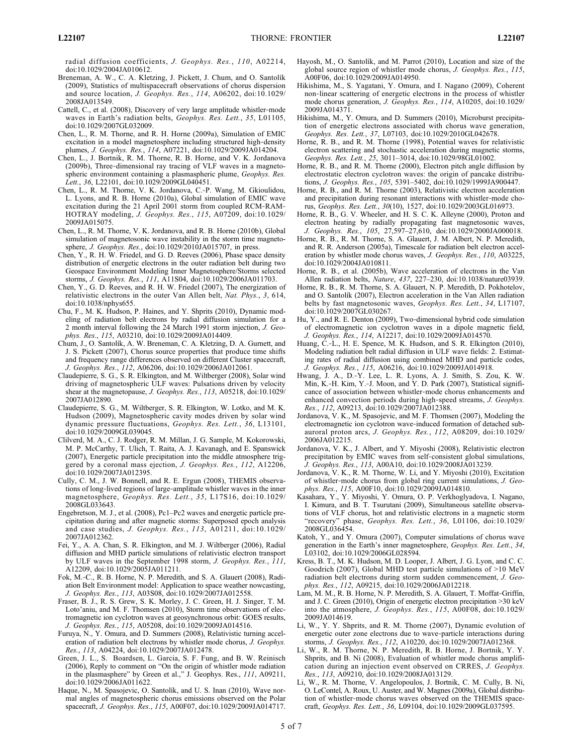radial diffusion coefficients, J. Geophys. Res., 110, A02214, doi:10.1029/2004JA010612.

- Breneman, A. W., C. A. Kletzing, J. Pickett, J. Chum, and O. Santolík (2009), Statistics of multispacecraft observations of chorus dispersion and source location, J. Geophys. Res., 114, A06202, doi:10.1029/ 2008JA013549.
- Cattell, C., et al. (2008), Discovery of very large amplitude whistler-mode waves in Earth's radiation belts, Geophys. Res. Lett., 35, L01105, doi:10.1029/2007GL032009.
- Chen, L., R. M. Thorne, and R. H. Horne (2009a), Simulation of EMIC excitation in a model magnetosphere including structured high‐density plumes, J. Geophys. Res., 114, A07221, doi:10.1029/2009JA014204.
- Chen, L., J. Bortnik, R. M. Thorne, R. B. Horne, and V. K. Jordanova (2009b), Three‐dimensional ray tracing of VLF waves in a magnetospheric environment containing a plasmaspheric plume, Geophys. Res. Lett., 36, L22101, doi:10.1029/2009GL040451.
- Chen, L., R. M. Thorne, V. K. Jordanova, C.‐P. Wang, M. Gkioulidou, L. Lyons, and R. B. Horne (2010a), Global simulation of EMIC wave excitation during the 21 April 2001 storm from coupled RCM‐RAM‐ HOTRAY modeling, J. Geophys. Res., 115, A07209, doi:10.1029/ 2009JA015075.
- Chen, L., R. M. Thorne, V. K. Jordanova, and R. B. Horne (2010b), Global simulation of magnetosonic wave instability in the storm time magnetosphere, J. Geophys. Res., doi:10.1029/2010JA015707, in press.
- Chen, Y., R. H. W. Friedel, and G. D. Reeves (2006), Phase space density distribution of energetic electrons in the outer radiation belt during two Geospace Environment Modeling Inner Magnetosphere/Storms selected storms, J. Geophys. Res., 111, A11S04, doi:10.1029/2006JA011703.
- Chen, Y., G. D. Reeves, and R. H. W. Friedel (2007), The energization of relativistic electrons in the outer Van Allen belt, Nat. Phys., 3, 614, doi:10.1038/nphys655.
- Chu, F., M. K. Hudson, P. Haines, and Y. Shprits (2010), Dynamic modeling of radiation belt electrons by radial diffusion simulation for a 2 month interval following the 24 March 1991 storm injection, J. Geophys. Res., 115, A03210, doi:10.1029/2009JA014409.
- Chum, J., O. Santolík, A. W. Breneman, C. A. Kletzing, D. A. Gurnett, and J. S. Pickett (2007), Chorus source properties that produce time shifts and frequency range differences observed on different Cluster spacecraft, J. Geophys. Res., 112, A06206, doi:10.1029/2006JA012061.
- Claudepierre, S. G., S. R. Elkington, and M. Wiltberger (2008), Solar wind driving of magnetospheric ULF waves: Pulsations driven by velocity shear at the magnetopause, J. Geophys. Res., 113, A05218, doi:10.1029/ 2007JA012890.
- Claudepierre, S. G., M. Wiltberger, S. R. Elkington, W. Lotko, and M. K. Hudson (2009), Magnetospheric cavity modes driven by solar wind dynamic pressure fluctuations, Geophys. Res. Lett., 36, L13101, doi:10.1029/2009GL039045.
- Clilverd, M. A., C. J. Rodger, R. M. Millan, J. G. Sample, M. Kokorowski, M. P. McCarthy, T. Ulich, T. Raita, A. J. Kavanagh, and E. Spanswick (2007), Energetic particle precipitation into the middle atmosphere triggered by a coronal mass ejection, J. Geophys. Res., 112, A12206, doi:10.1029/2007JA012395.
- Cully, C. M., J. W. Bonnell, and R. E. Ergun (2008), THEMIS observations of long‐lived regions of large‐amplitude whistler waves in the inner magnetosphere, Geophys. Res. Lett., 35, L17S16, doi:10.1029/ 2008GL033643.
- Engebretson, M. J., et al. (2008), Pc1–Pc2 waves and energetic particle precipitation during and after magnetic storms: Superposed epoch analysis and case studies, J. Geophys. Res., 113, A01211, doi:10.1029/ 2007JA012362.
- Fei, Y., A. A. Chan, S. R. Elkington, and M. J. Wiltberger (2006), Radial diffusion and MHD particle simulations of relativistic electron transport by ULF waves in the September 1998 storm, J. Geophys. Res., 111, A12209, doi:10.1029/2005JA011211.
- Fok, M.‐C., R. B. Horne, N. P. Meredith, and S. A. Glauert (2008), Radiation Belt Environment model: Application to space weather nowcasting, J. Geophys. Res., 113, A03S08, doi:10.1029/2007JA012558.
- Fraser, B. J., R. S. Grew, S. K. Morley, J. C. Green, H. J. Singer, T. M. Loto'aniu, and M. F. Thomsen (2010), Storm time observations of electromagnetic ion cyclotron waves at geosynchronous orbit: GOES results, J. Geophys. Res., 115, A05208, doi:10.1029/2009JA014516.
- Furuya, N., Y. Omura, and D. Summers (2008), Relativistic turning acceleration of radiation belt electrons by whistler mode chorus, J. Geophys. Res., 113, A04224, doi:10.1029/2007JA012478.
- Green, J. L., S. Boardsen, L. Garcia, S. F. Fung, and B. W. Reinisch (2006), Reply to comment on "On the origin of whistler mode radiation in the plasmasphere" by Green et al.," J. Geophys. Res., 111, A09211, doi:10.1029/2006JA011622.
- Haque, N., M. Spasojevic, O. Santolík, and U. S. Inan (2010), Wave normal angles of magnetospheric chorus emissions observed on the Polar spacecraft, J. Geophys. Res., 115, A00F07, doi:10.1029/2009JA014717.
- Hayosh, M., O. Santolík, and M. Parrot (2010), Location and size of the global source region of whistler mode chorus, J. Geophys. Res., 115, A00F06, doi:10.1029/2009JA014950.
- Hikishima, M., S. Yagatani, Y. Omura, and I. Nagano (2009), Coherent non‐linear scattering of energetic electrons in the process of whistler mode chorus generation, J. Geophys. Res., 114, A10205, doi:10.1029/ 2009JA014371.
- Hikishima, M., Y. Omura, and D. Summers (2010), Microburst precipitation of energetic electrons associated with chorus wave generation, Geophys. Res. Lett., 37, L07103, doi:10.1029/2010GL042678.
- Horne, R. B., and R. M. Thorne (1998), Potential waves for relativistic electron scattering and stochastic acceleration during magnetic storms, Geophys. Res. Lett., 25, 3011–3014, doi:10.1029/98GL01002.
- Horne, R. B., and R. M. Thorne (2000), Electron pitch angle diffusion by electrostatic electron cyclotron waves: the origin of pancake distributions, J. Geophys. Res., 105, 5391–5402, doi:10.1029/1999JA900447.
- Horne, R. B., and R. M. Thorne (2003), Relativistic electron acceleration and precipitation during resonant interactions with whistler-mode chorus, Geophys. Res. Lett., 30(10), 1527, doi:10.1029/2003GL016973.
- Horne, R. B., G. V. Wheeler, and H. S. C. K. Alleyne (2000), Proton and electron heating by radially propagating fast magnetosonic waves, J. Geophys. Res., 105, 27,597–27,610, doi:10.1029/2000JA000018.
- Horne, R. B., R. M. Thorne, S. A. Glauert, J. M. Albert, N. P. Meredith, and R. R. Anderson (2005a), Timescale for radiation belt electron acceleration by whistler mode chorus waves, J. Geophys. Res., 110, A03225, doi:10.1029/2004JA010811.
- Horne, R. B., et al. (2005b), Wave acceleration of electrons in the Van Allen radiation belts, Nature, 437, 227–230, doi:10.1038/nature03939.
- Horne, R. B., R. M. Thorne, S. A. Glauert, N. P. Meredith, D. Pokhotelov, and O. Santolík (2007), Electron acceleration in the Van Allen radiation belts by fast magnetosonic waves, Geophys. Res. Lett., 34, L17107, doi:10.1029/2007GL030267.
- Hu, Y., and R. E. Denton (2009), Two-dimensional hybrid code simulation of electromagnetic ion cyclotron waves in a dipole magnetic field, J. Geophys. Res., 114, A12217, doi:10.1029/2009JA014570.
- Huang, C.-L., H. E. Spence, M. K. Hudson, and S. R. Elkington (2010), Modeling radiation belt radial diffusion in ULF wave fields: 2. Estimating rates of radial diffusion using combined MHD and particle codes, J. Geophys. Res., 115, A06216, doi:10.1029/2009JA014918.
- Hwang, J. A., D.‐Y. Lee, L. R. Lyons, A. J. Smith, S. Zou, K. W. Min, K.‐H. Kim, Y.‐J. Moon, and Y. D. Park (2007), Statistical significance of association between whistler‐mode chorus enhancements and enhanced convection periods during high‐speed streams, J. Geophys. Res., 112, A09213, doi:10.1029/2007JA012388.
- Jordanova, V. K., M. Spasojevic, and M. F. Thomsen (2007), Modeling the electromagnetic ion cyclotron wave‐induced formation of detached subauroral proton arcs, J. Geophys. Res., 112, A08209, doi:10.1029/ 2006JA012215.
- Jordanova, V. K., J. Albert, and Y. Miyoshi (2008), Relativistic electron precipitation by EMIC waves from self-consistent global simulations, J. Geophys. Res., 113, A00A10, doi:10.1029/2008JA013239.
- Jordanova, V. K., R. M. Thorne, W. Li, and Y. Miyoshi (2010), Excitation of whistler‐mode chorus from global ring current simulations, J. Geophys. Res., 115, A00F10, doi:10.1029/2009JA014810.
- Kasahara, Y., Y. Miyoshi, Y. Omura, O. P. Verkhoglyadova, I. Nagano, I. Kimura, and B. T. Tsurutani (2009), Simultaneous satellite observations of VLF chorus, hot and relativistic electrons in a magnetic storm "recovery" phase, Geophys. Res. Lett., 36, L01106, doi:10.1029/ 2008GL036454.
- Katoh, Y., and Y. Omura (2007), Computer simulations of chorus wave generation in the Earth's inner magnetosphere, Geophys. Res. Lett., 34, L03102, doi:10.1029/2006GL028594.
- Kress, B. T., M. K. Hudson, M. D. Looper, J. Albert, J. G. Lyon, and C. C. Goodrich (2007), Global MHD test particle simulations of >10 MeV radiation belt electrons during storm sudden commencement, J. Geophys. Res., 112, A09215, doi:10.1029/2006JA012218.
- Lam, M. M., R. B. Horne, N. P. Meredith, S. A. Glauert, T. Moffat‐Griffin, and J. C. Green (2010), Origin of energetic electron precipitation >30 keV into the atmosphere, J. Geophys. Res., 115, A00F08, doi:10.1029/ 2009JA014619.
- Li, W., Y. Y. Shprits, and R. M. Thorne (2007), Dynamic evolution of energetic outer zone electrons due to wave‐particle interactions during storms, J. Geophys. Res., 112, A10220, doi:10.1029/2007JA012368.
- Li, W., R. M. Thorne, N. P. Meredith, R. B. Horne, J. Bortnik, Y. Y. Shprits, and B. Ni (2008), Evaluation of whistler mode chorus amplification during an injection event observed on CRRES, J. Geophys. Res., 113, A09210, doi:10.1029/2008JA013129.
- Li, W., R. M. Thorne, V. Angelopoulos, J. Bortnik, C. M. Cully, B. Ni, O. LeContel, A. Roux, U. Auster, and W. Magnes (2009a), Global distribution of whistler‐mode chorus waves observed on the THEMIS spacecraft, Geophys. Res. Lett., 36, L09104, doi:10.1029/2009GL037595.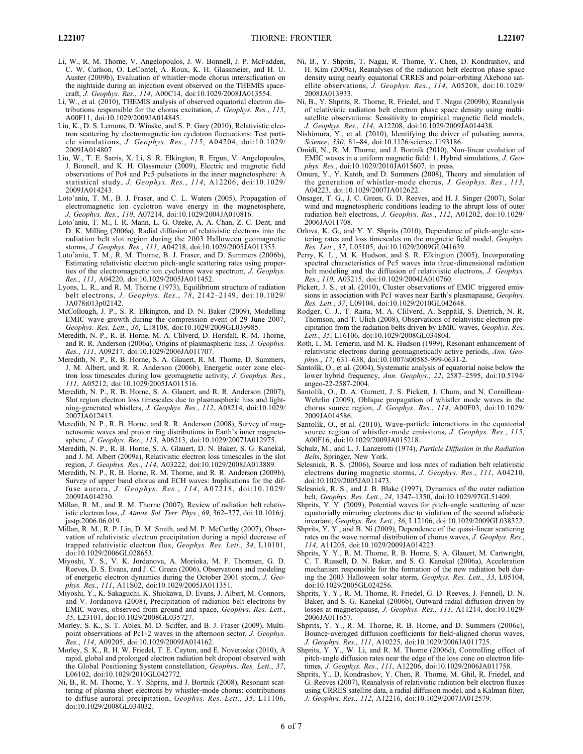- Li, W., R. M. Thorne, V. Angelopoulos, J. W. Bonnell, J. P. McFadden, C. W. Carlson, O. LeContel, A. Roux, K. H. Glassmeier, and H. U. Auster (2009b), Evaluation of whistler‐mode chorus intensification on the nightside during an injection event observed on the THEMIS spacecraft, J. Geophys. Res., 114, A00C14, doi:10.1029/2008JA013554.
- Li, W., et al. (2010), THEMIS analysis of observed equatorial electron distributions responsible for the chorus excitation, J. Geophys. Res., 115, A00F11, doi:10.1029/2009JA014845.
- Liu, K., D. S. Lemons, D. Winske, and S. P. Gary (2010), Relativistic electron scattering by electromagnetic ion cyclotron fluctuations: Test particle simulations, J. Geophys. Res., 115, A04204, doi:10.1029/ 2009JA014807.
- Liu, W., T. E. Sarris, X. Li, S. R. Elkington, R. Ergun, V. Angelopoulos, J. Bonnell, and K. H. Glassmeier (2009), Electric and magnetic field observations of Pc4 and Pc5 pulsations in the inner magnetosphere: A statistical study, J. Geophys. Res., 114, A12206, doi:10.1029/ 2009JA014243.
- Loto'aniu, T. M., B. J. Fraser, and C. L. Waters (2005), Propagation of electromagnetic ion cyclotron wave energy in the magnetosphere, J. Geophys. Res., 110, A07214, doi:10.1029/2004JA010816.
- Loto'aniu, T. M., I. R. Mann, L. G. Ozeke, A. A. Chan, Z. C. Dent, and D. K. Milling (2006a), Radial diffusion of relativistic electrons into the radiation belt slot region during the 2003 Halloween geomagnetic storms, J. Geophys. Res., 111, A04218, doi:10.1029/2005JA011355.
- Loto'aniu, T. M., R. M. Thorne, B. J. Fraser, and D. Summers (2006b), Estimating relativistic electron pitch‐angle scattering rates using properties of the electromagnetic ion cyclotron wave spectrum, J. Geophys. Res., 111, A04220, doi:10.1029/2005JA011452.
- Lyons, L. R., and R. M. Thorne (1973), Equilibrium structure of radiation belt electrons, J. Geophys. Res., 78, 2142–2149, doi:10.1029/ JA078i013p02142.
- McCollough, J. P., S. R. Elkington, and D. N. Baker (2009), Modelling EMIC wave growth during the compression event of 29 June 2007, Geophys. Res. Lett., 36, L18108, doi:10.1029/2009GL039985.
- Meredith, N. P., R. B. Horne, M. A. Clilverd, D. Horsfall, R. M. Thorne, and R. R. Anderson (2006a), Origins of plasmaspheric hiss, J. Geophys. Res., 111, A09217, doi:10.1029/2006JA011707.
- Meredith, N. P., R. B. Horne, S. A. Glauert, R. M. Thorne, D. Summers, J. M. Albert, and R. R. Anderson (2006b), Energetic outer zone electron loss timescales during low geomagnetic activity, J. Geophys. Res., 111, A05212, doi:10.1029/2005JA011516.
- Meredith, N. P., R. B. Horne, S. A. Glauert, and R. R. Anderson (2007), Slot region electron loss timescales due to plasmaspheric hiss and lightning-generated whistlers, J. Geophys. Res., 112, A08214, doi:10.1029/ 2007JA012413.
- Meredith, N. P., R. B. Horne, and R. R. Anderson (2008), Survey of magnetosonic waves and proton ring distributions in Earth's inner magnetosphere, *J. Geophys. Res.*, 113, A06213, doi:10.1029/2007JA012975.
- Meredith, N. P., R. B. Horne, S. A. Glauert, D. N. Baker, S. G. Kanekal, and J. M. Albert (2009a), Relativistic electron loss timescales in the slot region, J. Geophys. Res., 114, A03222, doi:10.1029/2008JA013889.
- Meredith, N. P., R. B. Horne, R. M. Thorne, and R. R. Anderson (2009b), Survey of upper band chorus and ECH waves: Implications for the diffuse aurora, J. Geophys. Res., 114, A07218, doi:10.1029/ 2009JA014230.
- Millan, R. M., and R. M. Thorne (2007), Review of radiation belt relativistic electron loss, J. Atmos. Sol. Terr. Phys., 69, 362–377, doi:10.1016/j. jastp.2006.06.019.
- Millan, R. M., R. P. Lin, D. M. Smith, and M. P. McCarthy (2007), Observation of relativistic electron precipitation during a rapid decrease of trapped relativistic electron flux, Geophys. Res. Lett., 34, L10101, doi:10.1029/2006GL028653.
- Miyoshi, Y. S., V. K. Jordanova, A. Morioka, M. F. Thomsen, G. D. Reeves, D. S. Evans, and J. C. Green (2006), Observations and modeling of energetic electron dynamics during the October 2001 storm, J. Geophys. Res., 111, A11S02, doi:10.1029/2005JA011351.
- Miyoshi, Y., K. Sakaguchi, K. Shiokawa, D. Evans, J. Albert, M. Connors, and V. Jordanova (2008), Precipitation of radiation belt electrons by EMIC waves, observed from ground and space, Geophys. Res. Lett., 35, L23101, doi:10.1029/2008GL035727.
- Morley, S. K., S. T. Ables, M. D. Sciffer, and B. J. Fraser (2009), Multipoint observations of Pc1-2 waves in the afternoon sector, J. Geophys. Res., 114, A09205, doi:10.1029/2009JA014162.
- Morley, S. K., R. H. W. Friedel, T. E. Cayton, and E. Noveroske (2010), A rapid, global and prolonged electron radiation belt dropout observed with the Global Positioning System constellation, Geophys. Res. Lett., 37, L06102, doi:10.1029/2010GL042772.
- Ni, B., R. M. Thorne, Y. Y. Shprits, and J. Bortnik (2008), Resonant scattering of plasma sheet electrons by whistler‐mode chorus: contributions to diffuse auroral precipitation, Geophys. Res. Lett., 35, L11106, doi:10.1029/2008GL034032.
- Ni, B., Y. Shprits, T. Nagai, R. Thorne, Y. Chen, D. Kondrashov, and H. Kim (2009a), Reanalyses of the radiation belt electron phase space density using nearly equatorial CRRES and polar‐orbiting Akebono satellite observations, J. Geophys. Res., 114, A05208, doi:10.1029/ 2008JA013933.
- Ni, B., Y. Shprits, R. Thorne, R. Friedel, and T. Nagai (2009b), Reanalysis of relativistic radiation belt electron phase space density using multi‐ satellite observations: Sensitivity to empirical magnetic field models, J. Geophys. Res., 114, A12208, doi:10.1029/2009JA014438.
- Nishimura, Y., et al. (2010), Identifying the driver of pulsating aurora, Science, 330, 81-84, doi:10.1126/science.1193186.
- Omidi, N., R. M. Thorne, and J. Bortnik (2010), Non‐linear evolution of EMIC waves in a uniform magnetic field: 1. Hybrid simulations, J. Geophys. Res., doi:10.1029/2010JA015607, in press.
- Omura, Y., Y. Katoh, and D. Summers (2008), Theory and simulation of the generation of whistler-mode chorus, J. Geophys. Res., 113, A04223, doi:10.1029/2007JA012622.
- Onsager, T. G., J. C. Green, G. D. Reeves, and H. J. Singer (2007), Solar wind and magnetospheric conditions leading to the abrupt loss of outer radiation belt electrons, J. Geophys. Res., 112, A01202, doi:10.1029/ 2006JA011708.
- Orlova, K. G., and Y. Y. Shprits (2010), Dependence of pitch‐angle scattering rates and loss timescales on the magnetic field model, Geophys. Res. Lett., 37, L05105, doi:10.1029/2009GL041639.
- Perry, K. L., M. K. Hudson, and S. R. Elkington (2005), Incorporating spectral characteristics of Pc5 waves into three-dimensional radiation belt modeling and the diffusion of relativistic electrons, J. Geophys. Res., 110, A03215, doi:10.1029/2004JA010760.
- Pickett, J. S., et al. (2010), Cluster observations of EMIC triggered emissions in association with Pc1 waves near Earth's plasmapause, Geophys. Res. Lett., 37, L09104, doi:10.1029/2010GL042648.
- Rodger, C. J., T. Raita, M. A. Clilverd, A. Seppälä, S. Dietrich, N. R. Thomson, and T. Ulich (2008), Observations of relativistic electron precipitation from the radiation belts driven by EMIC waves, Geophys. Res. Lett., 35, L16106, doi:10.1029/2008GL034804.
- Roth, I., M. Temerin, and M. K. Hudson (1999), Resonant enhancement of relativistic electrons during geomagnetically active periods, Ann. Geophys., 17, 631–638, doi:10.1007/s00585-999-0631-2.
- Santolík, O., et al. (2004), Systematic analysis of equatorial noise below the lower hybrid frequency, Ann. Geophys., 22, 2587–2595, doi:10.5194/ angeo-22-2587-2004.
- Santolík, O., D. A. Gurnett, J. S. Pickett, J. Chum, and N. Cornilleau-Wehrlin (2009), Oblique propagation of whistler mode waves in the chorus source region, J. Geophys. Res., 114, A00F03, doi:10.1029/ 2009JA014586.
- Santolík, O., et al. (2010), Wave-particle interactions in the equatorial source region of whistler-mode emissions, J. Geophys. Res., 115, A00F16, doi:10.1029/2009JA015218.
- Schulz, M., and L. J. Lanzerotti (1974), Particle Diffusion in the Radiation Belts, Springer, New York.
- Selesnick, R. S. (2006), Source and loss rates of radiation belt relativistic electrons during magnetic storms, J. Geophys. Res., 111, A04210, doi:10.1029/2005JA011473.
- Selesnick, R. S., and J. B. Blake (1997), Dynamics of the outer radiation belt, Geophys. Res. Lett., 24, 1347–1350, doi:10.1029/97GL51409.
- Shprits, Y. Y. (2009), Potential waves for pitch-angle scattering of near equatorially mirroring electrons due to violation of the second adiabatic invariant, Geophys. Res. Lett., 36, L12106, doi:10.1029/2009GL038322.
- Shprits, Y. Y., and B. Ni (2009), Dependence of the quasi-linear scattering rates on the wave normal distribution of chorus waves, J. Geophys. Res., 114, A11205, doi:10.1029/2009JA014223.
- Shprits, Y. Y., R. M. Thorne, R. B. Horne, S. A. Glauert, M. Cartwright, C. T. Russell, D. N. Baker, and S. G. Kanekal (2006a), Acceleration mechanism responsible for the formation of the new radiation belt during the 2003 Halloween solar storm, Geophys. Res. Lett., 33, L05104, doi:10.1029/2005GL024256.
- Shprits, Y. Y., R. M. Thorne, R. Friedel, G. D. Reeves, J. Fennell, D. N. Baker, and S. G. Kanekal (2006b), Outward radial diffusion driven by losses at magnetopause, J. Geophys. Res., 111, A11214, doi:10.1029/ 2006JA011657.
- Shprits, Y. Y., R. M. Thorne, R. B. Horne, and D. Summers (2006c), Bounce‐averaged diffusion coefficients for field‐aligned chorus waves, J. Geophys. Res., 111, A10225, doi:10.1029/2006JA011725.
- Shprits, Y. Y., W. Li, and R. M. Thorne (2006d), Controlling effect of pitch‐angle diffusion rates near the edge of the loss cone on electron lifetimes, J. Geophys. Res., 111, A12206, doi:10.1029/2006JA011758.
- Shprits, Y., D. Kondrashov, Y. Chen, R. Thorne, M. Ghil, R. Friedel, and G. Reeves (2007), Reanalysis of relativistic radiation belt electron fluxes using CRRES satellite data, a radial diffusion model, and a Kalman filter, J. Geophys. Res., 112, A12216, doi:10.1029/2007JA012579.